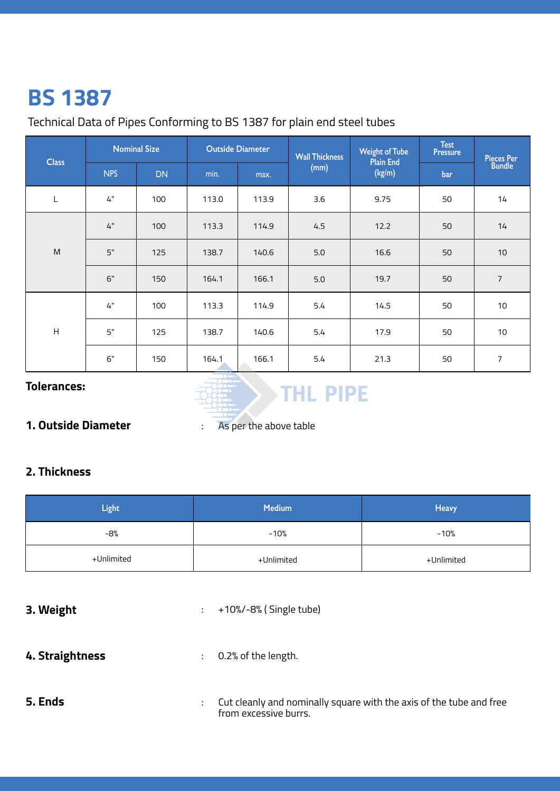# **BS 1387**

### Technical Data of Pipes Conforming to BS 1387 for plain end steel tubes

| <b>Class</b> | <b>Nominal Size</b> |           | <b>Outside Diameter</b> |       | <b>Wall Thickness</b> | <b>Weight of Tube</b><br><b>Plain End</b> | <b>Test</b><br>Pressure | <b>Pieces Per</b> |
|--------------|---------------------|-----------|-------------------------|-------|-----------------------|-------------------------------------------|-------------------------|-------------------|
|              | <b>NPS</b>          | <b>DN</b> | min.                    | max.  | (mm)                  | (kg/m)                                    | bar                     | <b>Bundle</b>     |
| L            | $4"$                | 100       | 113.0                   | 113.9 | 3.6                   | 9.75                                      | 50                      | 14                |
| M            | 4"                  | 100       | 113.3                   | 114.9 | 4.5                   | 12.2                                      | 50                      | 14                |
|              | 5"                  | 125       | 138.7                   | 140.6 | 5.0                   | 16.6                                      | 50                      | 10                |
|              | $6"$                | 150       | 164.1                   | 166.1 | 5.0                   | 19.7                                      | 50                      | 7                 |
| H            | $4"$                | 100       | 113.3                   | 114.9 | 5.4                   | 14.5                                      | 50                      | 10 <sup>°</sup>   |
|              | 5"                  | 125       | 138.7                   | 140.6 | 5.4                   | 17.9                                      | 50                      | 10                |
|              | 6"                  | 150       | 164.1                   | 166.1 | 5.4                   | 21.3                                      | 50                      | 7                 |

#### **Tolerances:**



#### **1. Outside Diameter**

: As per the above table

### **2. Thickness**

| <b>Light</b> | <b>Medium</b> | <b>Heavy</b> |
|--------------|---------------|--------------|
| -8%          | $-10%$        | $-10%$       |
| +Unlimited   | +Unlimited    | +Unlimited   |

| 3. Weight       | ÷. | +10%/-8% (Single tube)                                                                       |
|-----------------|----|----------------------------------------------------------------------------------------------|
| 4. Straightness | ÷  | 0.2% of the length.                                                                          |
| 5. Ends         | ÷. | Cut cleanly and nominally square with the axis of the tube and free<br>from excessive burrs. |